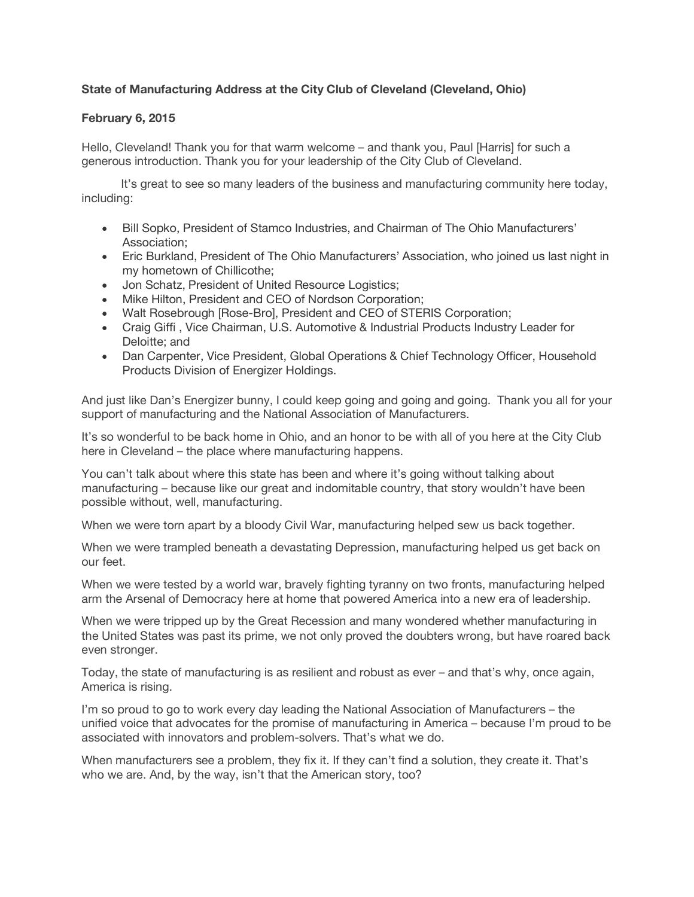## **State of Manufacturing Address at the City Club of Cleveland (Cleveland, Ohio)**

## **February 6, 2015**

Hello, Cleveland! Thank you for that warm welcome – and thank you, Paul [Harris] for such a generous introduction. Thank you for your leadership of the City Club of Cleveland.

 It's great to see so many leaders of the business and manufacturing community here today, including:

- Bill Sopko, President of Stamco Industries, and Chairman of The Ohio Manufacturers' Association;
- Eric Burkland, President of The Ohio Manufacturers' Association, who joined us last night in my hometown of Chillicothe;
- Jon Schatz, President of United Resource Logistics;
- Mike Hilton, President and CEO of Nordson Corporation;
- Walt Rosebrough [Rose-Bro], President and CEO of STERIS Corporation;
- Craig Giffi , Vice Chairman, U.S. Automotive & Industrial Products Industry Leader for Deloitte; and
- Dan Carpenter, Vice President, Global Operations & Chief Technology Officer, Household Products Division of Energizer Holdings.

And just like Dan's Energizer bunny, I could keep going and going and going. Thank you all for your support of manufacturing and the National Association of Manufacturers.

It's so wonderful to be back home in Ohio, and an honor to be with all of you here at the City Club here in Cleveland – the place where manufacturing happens.

You can't talk about where this state has been and where it's going without talking about manufacturing – because like our great and indomitable country, that story wouldn't have been possible without, well, manufacturing.

When we were torn apart by a bloody Civil War, manufacturing helped sew us back together.

When we were trampled beneath a devastating Depression, manufacturing helped us get back on our feet.

When we were tested by a world war, bravely fighting tyranny on two fronts, manufacturing helped arm the Arsenal of Democracy here at home that powered America into a new era of leadership.

When we were tripped up by the Great Recession and many wondered whether manufacturing in the United States was past its prime, we not only proved the doubters wrong, but have roared back even stronger.

Today, the state of manufacturing is as resilient and robust as ever – and that's why, once again, America is rising.

I'm so proud to go to work every day leading the National Association of Manufacturers – the unified voice that advocates for the promise of manufacturing in America – because I'm proud to be associated with innovators and problem-solvers. That's what we do.

When manufacturers see a problem, they fix it. If they can't find a solution, they create it. That's who we are. And, by the way, isn't that the American story, too?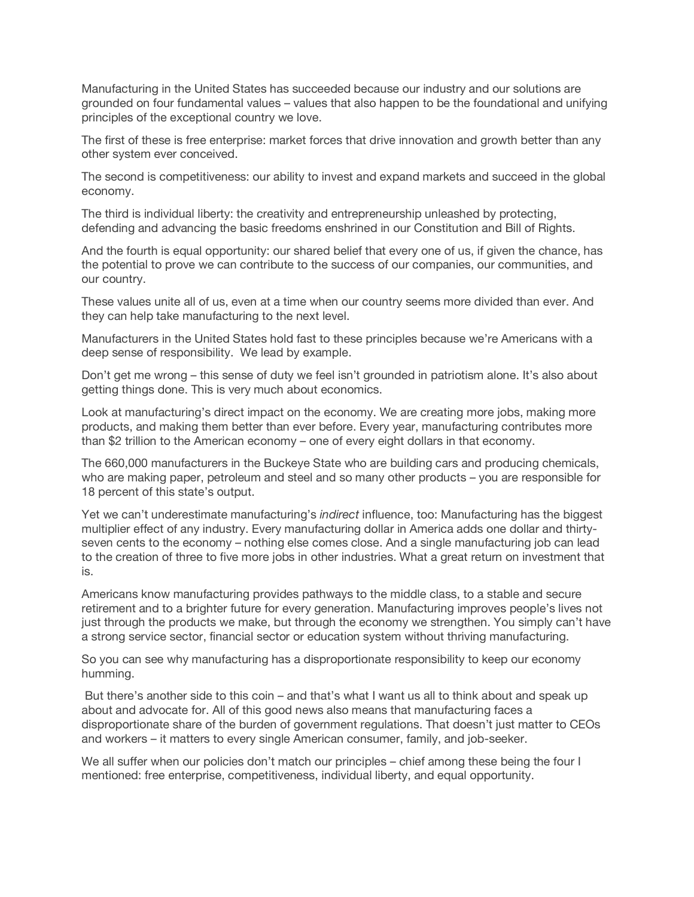Manufacturing in the United States has succeeded because our industry and our solutions are grounded on four fundamental values – values that also happen to be the foundational and unifying principles of the exceptional country we love.

The first of these is free enterprise: market forces that drive innovation and growth better than any other system ever conceived.

The second is competitiveness: our ability to invest and expand markets and succeed in the global economy.

The third is individual liberty: the creativity and entrepreneurship unleashed by protecting, defending and advancing the basic freedoms enshrined in our Constitution and Bill of Rights.

And the fourth is equal opportunity: our shared belief that every one of us, if given the chance, has the potential to prove we can contribute to the success of our companies, our communities, and our country.

These values unite all of us, even at a time when our country seems more divided than ever. And they can help take manufacturing to the next level.

Manufacturers in the United States hold fast to these principles because we're Americans with a deep sense of responsibility. We lead by example.

Don't get me wrong – this sense of duty we feel isn't grounded in patriotism alone. It's also about getting things done. This is very much about economics.

Look at manufacturing's direct impact on the economy. We are creating more jobs, making more products, and making them better than ever before. Every year, manufacturing contributes more than \$2 trillion to the American economy – one of every eight dollars in that economy.

The 660,000 manufacturers in the Buckeye State who are building cars and producing chemicals, who are making paper, petroleum and steel and so many other products – you are responsible for 18 percent of this state's output.

Yet we can't underestimate manufacturing's *indirect* influence, too: Manufacturing has the biggest multiplier effect of any industry. Every manufacturing dollar in America adds one dollar and thirtyseven cents to the economy – nothing else comes close. And a single manufacturing job can lead to the creation of three to five more jobs in other industries. What a great return on investment that is.

Americans know manufacturing provides pathways to the middle class, to a stable and secure retirement and to a brighter future for every generation. Manufacturing improves people's lives not just through the products we make, but through the economy we strengthen. You simply can't have a strong service sector, financial sector or education system without thriving manufacturing.

So you can see why manufacturing has a disproportionate responsibility to keep our economy humming.

 But there's another side to this coin – and that's what I want us all to think about and speak up about and advocate for. All of this good news also means that manufacturing faces a disproportionate share of the burden of government regulations. That doesn't just matter to CEOs and workers – it matters to every single American consumer, family, and job-seeker.

We all suffer when our policies don't match our principles – chief among these being the four I mentioned: free enterprise, competitiveness, individual liberty, and equal opportunity.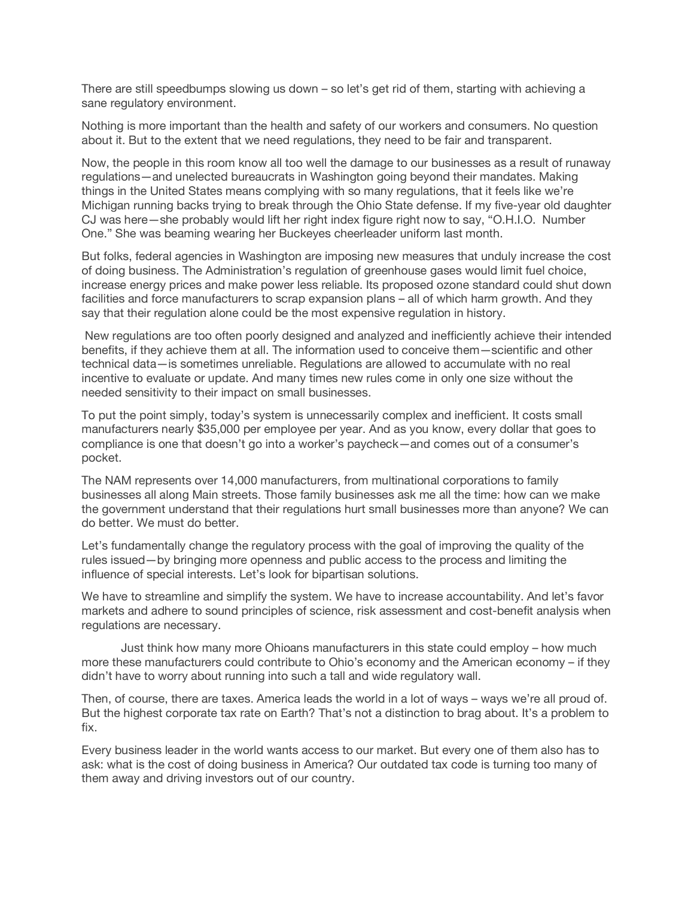There are still speedbumps slowing us down – so let's get rid of them, starting with achieving a sane regulatory environment.

Nothing is more important than the health and safety of our workers and consumers. No question about it. But to the extent that we need regulations, they need to be fair and transparent.

Now, the people in this room know all too well the damage to our businesses as a result of runaway regulations—and unelected bureaucrats in Washington going beyond their mandates. Making things in the United States means complying with so many regulations, that it feels like we're Michigan running backs trying to break through the Ohio State defense. If my five-year old daughter CJ was here—she probably would lift her right index figure right now to say, "O.H.I.O. Number One." She was beaming wearing her Buckeyes cheerleader uniform last month.

But folks, federal agencies in Washington are imposing new measures that unduly increase the cost of doing business. The Administration's regulation of greenhouse gases would limit fuel choice, increase energy prices and make power less reliable. Its proposed ozone standard could shut down facilities and force manufacturers to scrap expansion plans – all of which harm growth. And they say that their regulation alone could be the most expensive regulation in history.

 New regulations are too often poorly designed and analyzed and inefficiently achieve their intended benefits, if they achieve them at all. The information used to conceive them—scientific and other technical data—is sometimes unreliable. Regulations are allowed to accumulate with no real incentive to evaluate or update. And many times new rules come in only one size without the needed sensitivity to their impact on small businesses.

To put the point simply, today's system is unnecessarily complex and inefficient. It costs small manufacturers nearly \$35,000 per employee per year. And as you know, every dollar that goes to compliance is one that doesn't go into a worker's paycheck—and comes out of a consumer's pocket.

The NAM represents over 14,000 manufacturers, from multinational corporations to family businesses all along Main streets. Those family businesses ask me all the time: how can we make the government understand that their regulations hurt small businesses more than anyone? We can do better. We must do better.

Let's fundamentally change the regulatory process with the goal of improving the quality of the rules issued—by bringing more openness and public access to the process and limiting the influence of special interests. Let's look for bipartisan solutions.

We have to streamline and simplify the system. We have to increase accountability. And let's favor markets and adhere to sound principles of science, risk assessment and cost-benefit analysis when regulations are necessary.

 Just think how many more Ohioans manufacturers in this state could employ – how much more these manufacturers could contribute to Ohio's economy and the American economy – if they didn't have to worry about running into such a tall and wide regulatory wall.

Then, of course, there are taxes. America leads the world in a lot of ways – ways we're all proud of. But the highest corporate tax rate on Earth? That's not a distinction to brag about. It's a problem to fix.

Every business leader in the world wants access to our market. But every one of them also has to ask: what is the cost of doing business in America? Our outdated tax code is turning too many of them away and driving investors out of our country.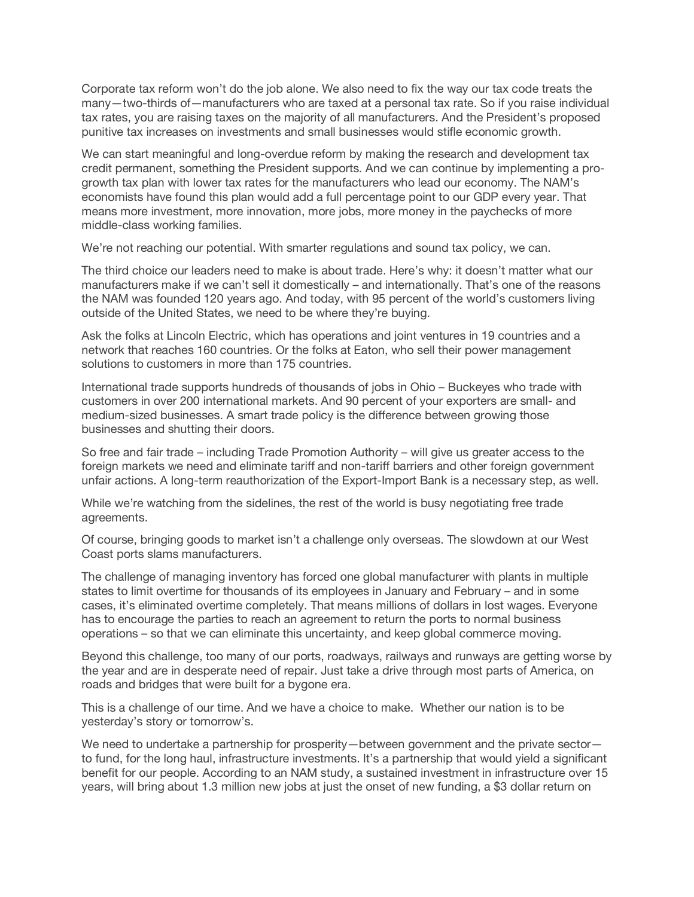Corporate tax reform won't do the job alone. We also need to fix the way our tax code treats the many—two-thirds of—manufacturers who are taxed at a personal tax rate. So if you raise individual tax rates, you are raising taxes on the majority of all manufacturers. And the President's proposed punitive tax increases on investments and small businesses would stifle economic growth.

We can start meaningful and long-overdue reform by making the research and development tax credit permanent, something the President supports. And we can continue by implementing a progrowth tax plan with lower tax rates for the manufacturers who lead our economy. The NAM's economists have found this plan would add a full percentage point to our GDP every year. That means more investment, more innovation, more jobs, more money in the paychecks of more middle-class working families.

We're not reaching our potential. With smarter regulations and sound tax policy, we can.

The third choice our leaders need to make is about trade. Here's why: it doesn't matter what our manufacturers make if we can't sell it domestically – and internationally. That's one of the reasons the NAM was founded 120 years ago. And today, with 95 percent of the world's customers living outside of the United States, we need to be where they're buying.

Ask the folks at Lincoln Electric, which has operations and joint ventures in 19 countries and a network that reaches 160 countries. Or the folks at Eaton, who sell their power management solutions to customers in more than 175 countries.

International trade supports hundreds of thousands of jobs in Ohio – Buckeyes who trade with customers in over 200 international markets. And 90 percent of your exporters are small- and medium-sized businesses. A smart trade policy is the difference between growing those businesses and shutting their doors.

So free and fair trade – including Trade Promotion Authority – will give us greater access to the foreign markets we need and eliminate tariff and non-tariff barriers and other foreign government unfair actions. A long-term reauthorization of the Export-Import Bank is a necessary step, as well.

While we're watching from the sidelines, the rest of the world is busy negotiating free trade agreements.

Of course, bringing goods to market isn't a challenge only overseas. The slowdown at our West Coast ports slams manufacturers.

The challenge of managing inventory has forced one global manufacturer with plants in multiple states to limit overtime for thousands of its employees in January and February – and in some cases, it's eliminated overtime completely. That means millions of dollars in lost wages. Everyone has to encourage the parties to reach an agreement to return the ports to normal business operations – so that we can eliminate this uncertainty, and keep global commerce moving.

Beyond this challenge, too many of our ports, roadways, railways and runways are getting worse by the year and are in desperate need of repair. Just take a drive through most parts of America, on roads and bridges that were built for a bygone era.

This is a challenge of our time. And we have a choice to make. Whether our nation is to be yesterday's story or tomorrow's.

We need to undertake a partnership for prosperity—between government and the private sector to fund, for the long haul, infrastructure investments. It's a partnership that would yield a significant benefit for our people. According to an NAM study, a sustained investment in infrastructure over 15 years, will bring about 1.3 million new jobs at just the onset of new funding, a \$3 dollar return on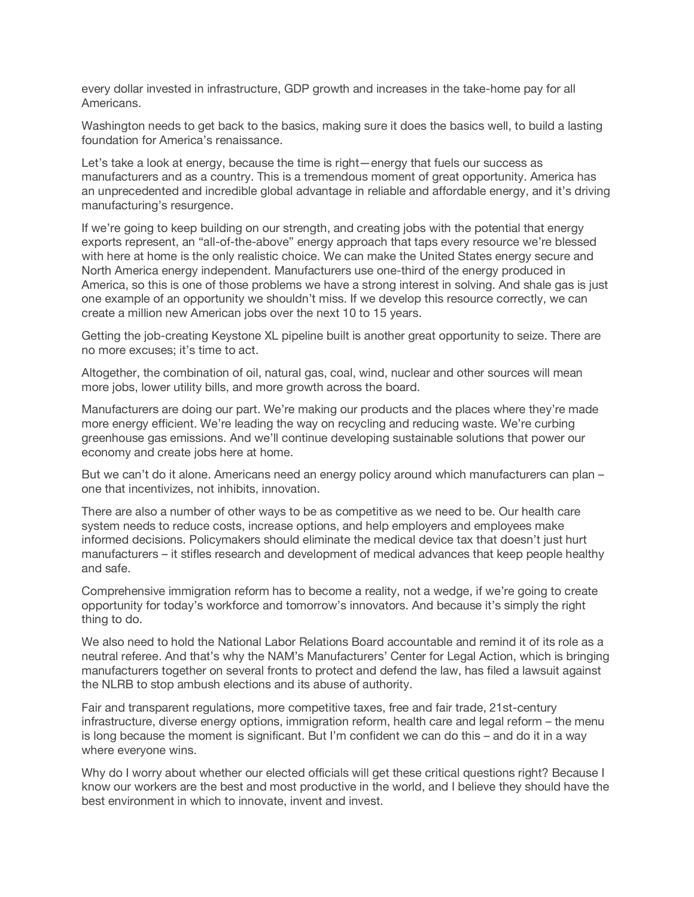every dollar invested in infrastructure, GDP growth and increases in the take-home pay for all Americans.

Washington needs to get back to the basics, making sure it does the basics well, to build a lasting foundation for America's renaissance.

Let's take a look at energy, because the time is right—energy that fuels our success as manufacturers and as a country. This is a tremendous moment of great opportunity. America has an unprecedented and incredible global advantage in reliable and affordable energy, and it's driving manufacturing's resurgence.

If we're going to keep building on our strength, and creating jobs with the potential that energy exports represent, an "all-of-the-above" energy approach that taps every resource we're blessed with here at home is the only realistic choice. We can make the United States energy secure and North America energy independent. Manufacturers use one-third of the energy produced in America, so this is one of those problems we have a strong interest in solving. And shale gas is just one example of an opportunity we shouldn't miss. If we develop this resource correctly, we can create a million new American jobs over the next 10 to 15 years.

Getting the job-creating Keystone XL pipeline built is another great opportunity to seize. There are no more excuses; it's time to act.

Altogether, the combination of oil, natural gas, coal, wind, nuclear and other sources will mean more jobs, lower utility bills, and more growth across the board.

Manufacturers are doing our part. We're making our products and the places where they're made more energy efficient. We're leading the way on recycling and reducing waste. We're curbing greenhouse gas emissions. And we'll continue developing sustainable solutions that power our economy and create jobs here at home.

But we can't do it alone. Americans need an energy policy around which manufacturers can plan – one that incentivizes, not inhibits, innovation.

There are also a number of other ways to be as competitive as we need to be. Our health care system needs to reduce costs, increase options, and help employers and employees make informed decisions. Policymakers should eliminate the medical device tax that doesn't just hurt manufacturers – it stifles research and development of medical advances that keep people healthy and safe.

Comprehensive immigration reform has to become a reality, not a wedge, if we're going to create opportunity for today's workforce and tomorrow's innovators. And because it's simply the right thing to do.

We also need to hold the National Labor Relations Board accountable and remind it of its role as a neutral referee. And that's why the NAM's Manufacturers' Center for Legal Action, which is bringing manufacturers together on several fronts to protect and defend the law, has filed a lawsuit against the NLRB to stop ambush elections and its abuse of authority.

Fair and transparent regulations, more competitive taxes, free and fair trade, 21st-century infrastructure, diverse energy options, immigration reform, health care and legal reform – the menu is long because the moment is significant. But I'm confident we can do this – and do it in a way where everyone wins.

Why do I worry about whether our elected officials will get these critical questions right? Because I know our workers are the best and most productive in the world, and I believe they should have the best environment in which to innovate, invent and invest.